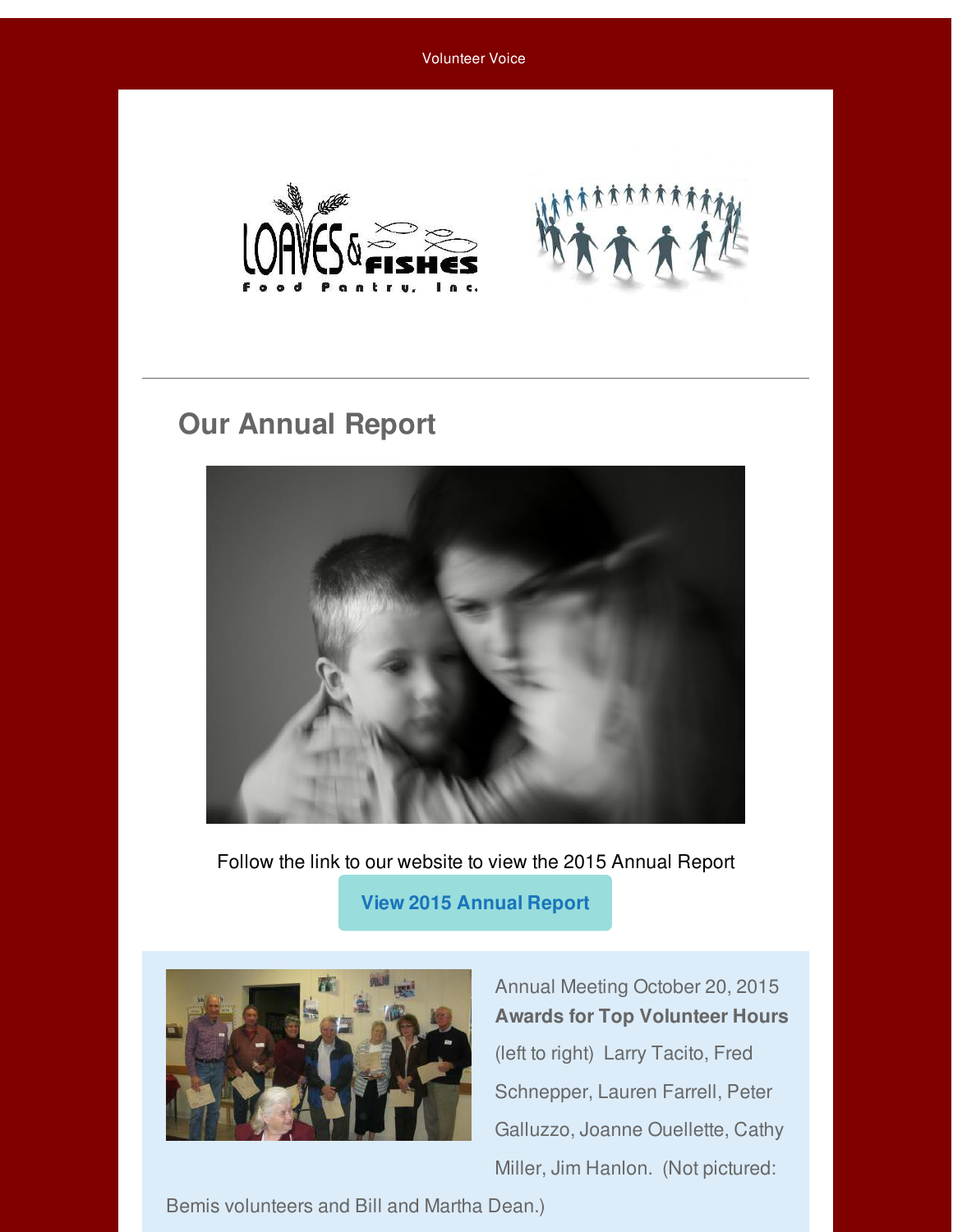Volunteer Voice



## **Our Annual Report**



Follow the link to our website to view the 2015 Annual Report

 **[View 2015 Annual Report](http://r20.rs6.net/tn.jsp?f=001y1ltD-1ldJDzDiVwNHG-Es5HooYJqU2RTJRjSvwn_LiyjeQXwVNZuKgDhDIqLluPFOPwfIA5mVzEeZ3s3l4sV7yoFB_Tr_XA1vyNzFiSJh-8ldE7D2FIqFjFHiV-ELyWQzBTqIxspKPV-muqYlsqB2lq4_nRRjNtQ9o-h9TcpBJnXJPqpeIDbg==&c=&ch=)** 



Annual Meeting October 20, 2015 **Awards for Top Volunteer Hours** (left to right) Larry Tacito, Fred Schnepper, Lauren Farrell, Peter Galluzzo, Joanne Ouellette, Cathy Miller, Jim Hanlon. (Not pictured:

Bemis volunteers and Bill and Martha Dean.)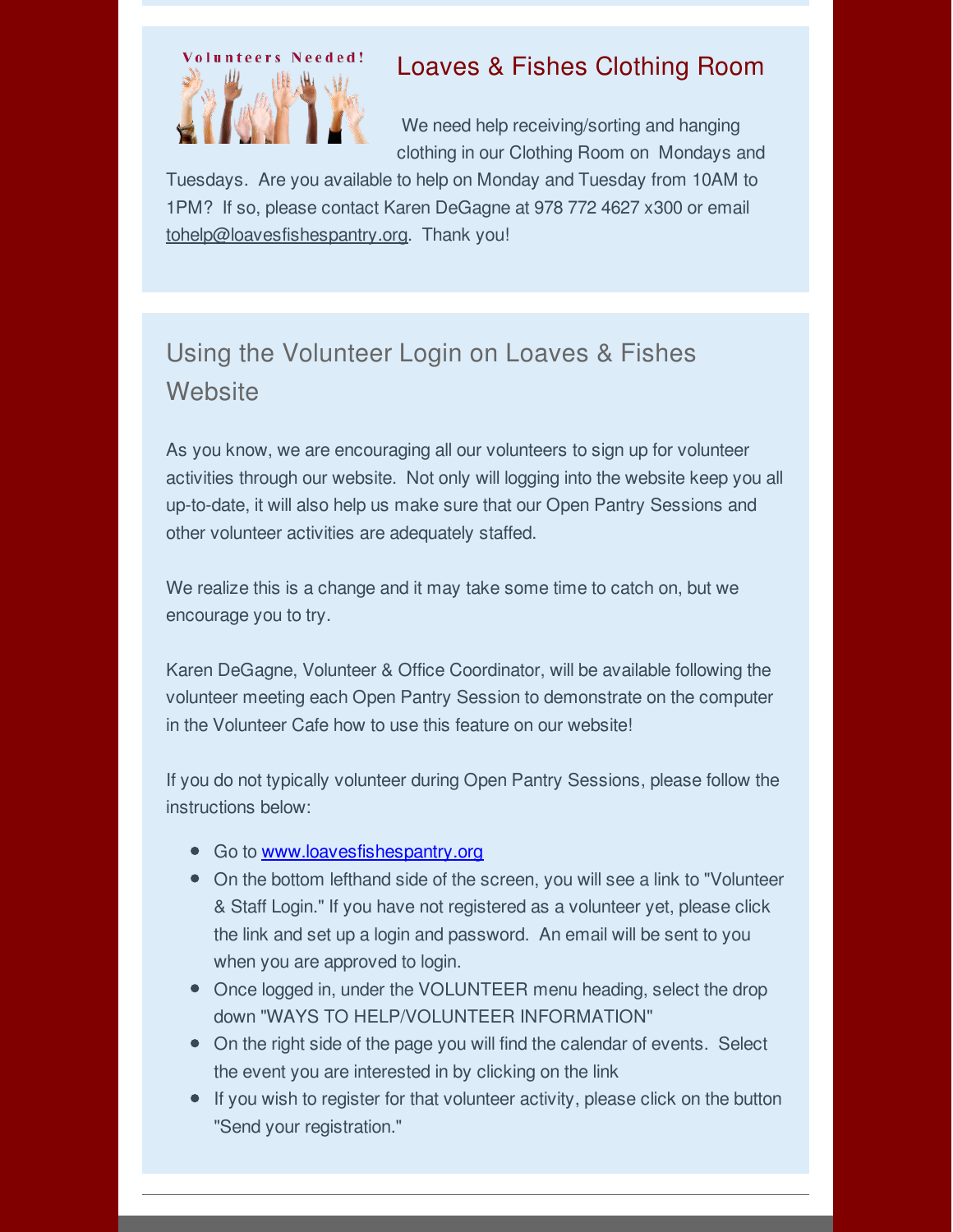

### Loaves & Fishes Clothing Room

 We need help receiving/sorting and hanging clothing in our Clothing Room on Mondays and

Tuesdays. Are you available to help on Monday and Tuesday from 10AM to 1PM? If so, please contact Karen DeGagne at 978 772 4627 x300 or email tohelp@loavesfishespantry.org. Thank you!

# Using the Volunteer Login on Loaves & Fishes **Website**

As you know, we are encouraging all our volunteers to sign up for volunteer activities through our website. Not only will logging into the website keep you all up-to-date, it will also help us make sure that our Open Pantry Sessions and other volunteer activities are adequately staffed.

We realize this is a change and it may take some time to catch on, but we encourage you to try.

Karen DeGagne, Volunteer & Office Coordinator, will be available following the volunteer meeting each Open Pantry Session to demonstrate on the computer in the Volunteer Cafe how to use this feature on our website!

If you do not typically volunteer during Open Pantry Sessions, please follow the instructions below:

- Go to [www.loavesfishespantry.org](http://r20.rs6.net/tn.jsp?f=001y1ltD-1ldJDzDiVwNHG-Es5HooYJqU2RTJRjSvwn_LiyjeQXwVNZuKgDhDIqLluPFOPwfIA5mVzEeZ3s3l4sV7yoFB_Tr_XA1vyNzFiSJh-8ldE7D2FIqFjFHiV-ELyWQzBTqIxspKPV-muqYlsqB2lq4_nRRjNtQ9o-h9TcpBJnXJPqpeIDbg==&c=&ch=)
- On the bottom lefthand side of the screen, you will see a link to "Volunteer & Staff Login." If you have not registered as a volunteer yet, please click the link and set up a login and password. An email will be sent to you when you are approved to login.
- Once logged in, under the VOLUNTEER menu heading, select the drop down "WAYS TO HELP/VOLUNTEER INFORMATION"
- On the right side of the page you will find the calendar of events. Select the event you are interested in by clicking on the link
- If you wish to register for that volunteer activity, please click on the button "Send your registration."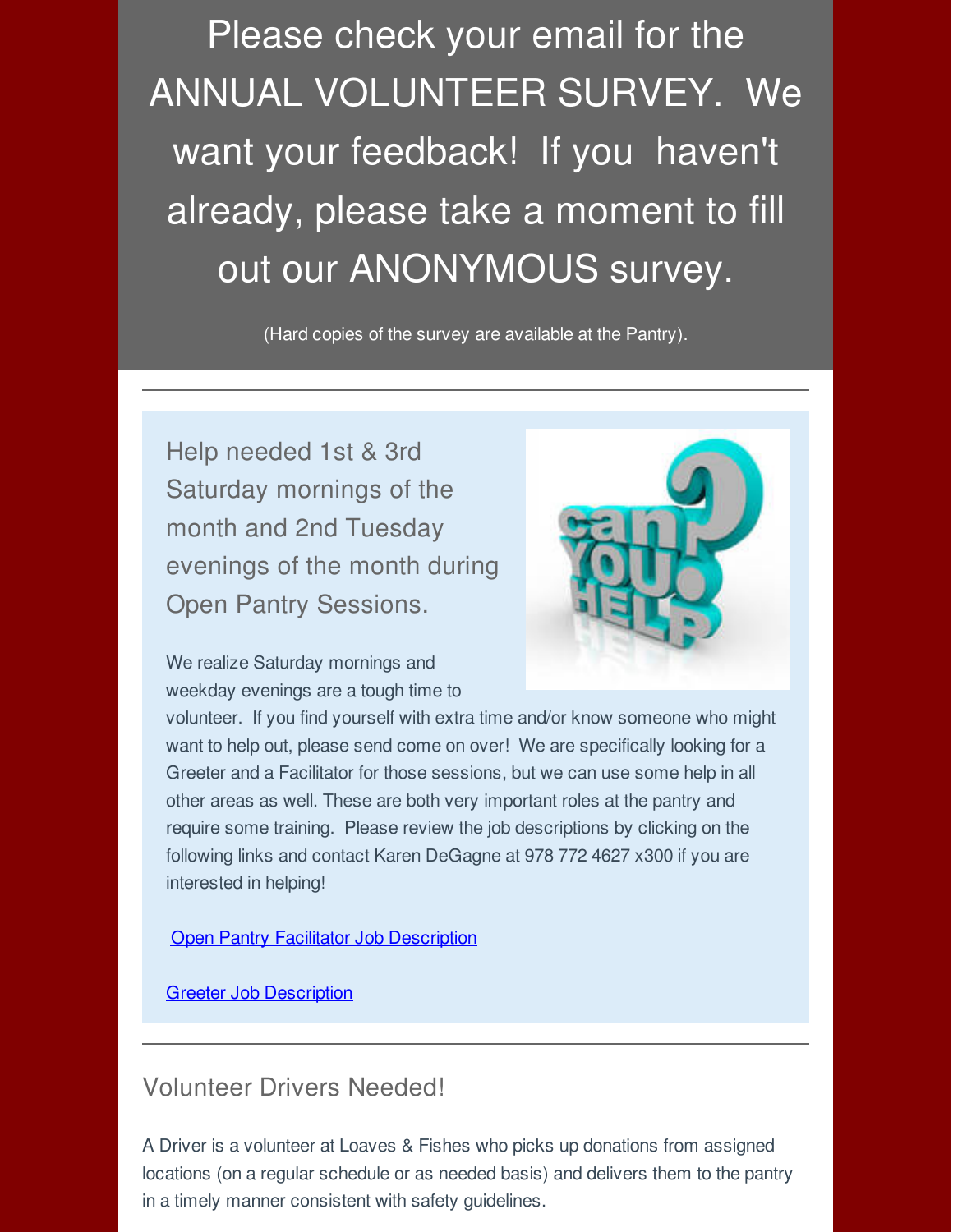Please check your email for the ANNUAL VOLUNTEER SURVEY. We want your feedback! If you haven't already, please take a moment to fill out our ANONYMOUS survey.

(Hard copies of the survey are available at the Pantry).

Help needed 1st & 3rd Saturday mornings of the month and 2nd Tuesday evenings of the month during Open Pantry Sessions.



We realize Saturday mornings and weekday evenings are a tough time to

volunteer. If you find yourself with extra time and/or know someone who might want to help out, please send come on over! We are specifically looking for a Greeter and a Facilitator for those sessions, but we can use some help in all other areas as well. These are both very important roles at the pantry and require some training. Please review the job descriptions by clicking on the following links and contact Karen DeGagne at 978 772 4627 x300 if you are interested in helping!

**[Open Pantry Facilitator Job Description](http://r20.rs6.net/tn.jsp?f=001y1ltD-1ldJDzDiVwNHG-Es5HooYJqU2RTJRjSvwn_LiyjeQXwVNZuPTZw45WJBcfx8Iw1GeYm-2_ojFR_-YnSmvWfan-GZxSyxivwhpripXsDPkU6aRP7-cOOpm5hfCot-pHsdSr4-RBW219lfU7blDylUtlTi1iycMyLSTxSYFoyoNrSwxWuZcu6WPoYyHSLpJjjfywJiuNxvgsoyF0CxYHkYXWZes5BtdbpaSkykADVVvONc0-zA==&c=&ch=)** 

[Greeter Job Description](http://r20.rs6.net/tn.jsp?f=001y1ltD-1ldJDzDiVwNHG-Es5HooYJqU2RTJRjSvwn_LiyjeQXwVNZuPTZw45WJBcfv_VGpp8KJ6Ldnl0yvB89tlQ8REPtdo9yZYA4sqiYlxdb8fxy7NTDe_G0rj3AzhTbuDE-4sbZ_doUx3zvGY0bFf23AKwUQO79sQ8xHMp9FUT8ybPfev62KqdzeAqSpK0JYHg3LbAtvG4_MzP7LAtZn0-QhNDB-akXkaBUQOrghgYt_h68Q_lzCw==&c=&ch=)

#### Volunteer Drivers Needed!

A Driver is a volunteer at Loaves & Fishes who picks up donations from assigned locations (on a regular schedule or as needed basis) and delivers them to the pantry in a timely manner consistent with safety guidelines.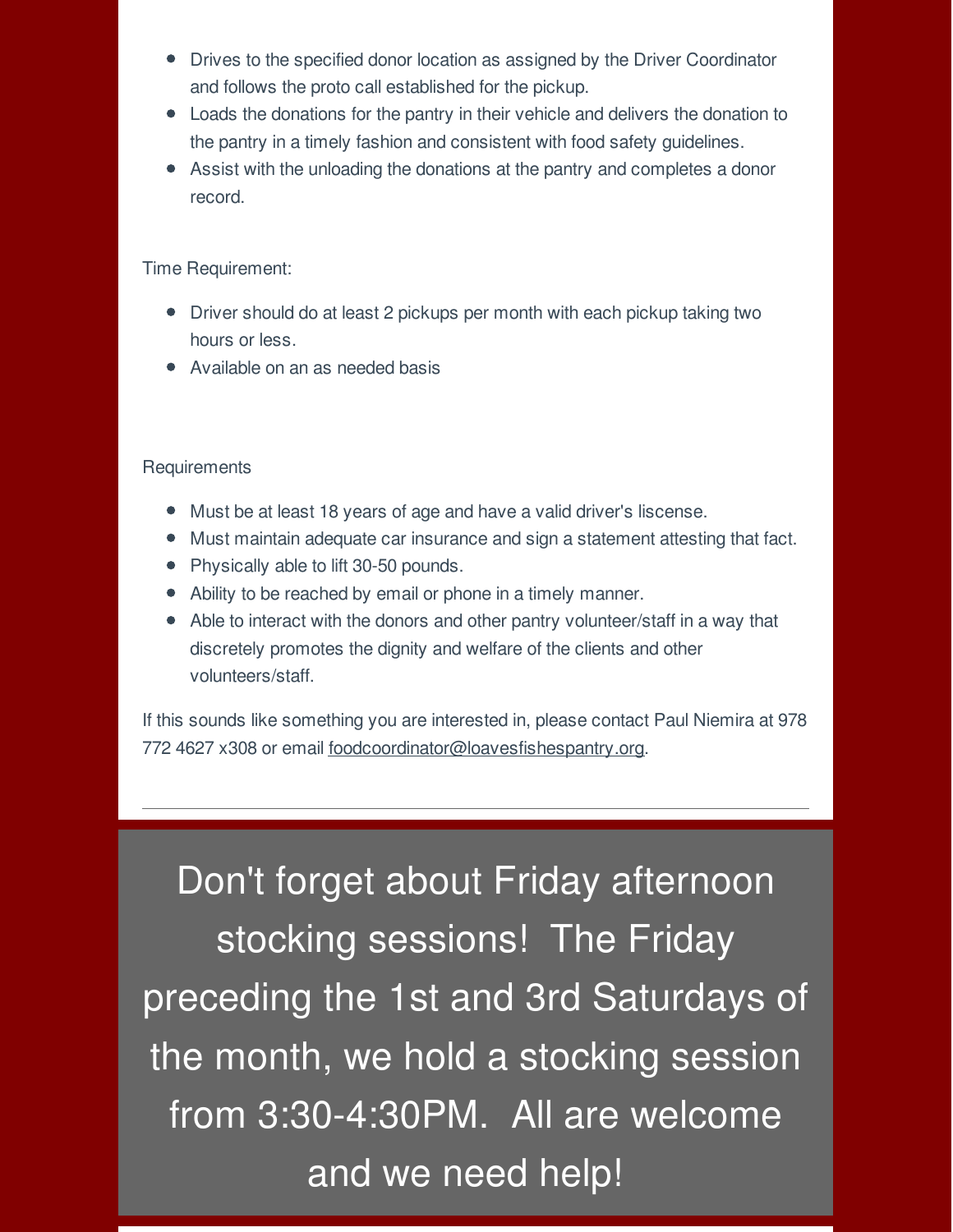- Drives to the specified donor location as assigned by the Driver Coordinator and follows the proto call established for the pickup.
- Loads the donations for the pantry in their vehicle and delivers the donation to the pantry in a timely fashion and consistent with food safety guidelines.
- Assist with the unloading the donations at the pantry and completes a donor record.

Time Requirement:

- Driver should do at least 2 pickups per month with each pickup taking two hours or less.
- Available on an as needed basis

#### **Requirements**

- Must be at least 18 years of age and have a valid driver's liscense.
- Must maintain adequate car insurance and sign a statement attesting that fact.
- Physically able to lift 30-50 pounds.
- Ability to be reached by email or phone in a timely manner.
- Able to interact with the donors and other pantry volunteer/staff in a way that discretely promotes the dignity and welfare of the clients and other volunteers/staff.

If this sounds like something you are interested in, please contact Paul Niemira at 978 772 4627 x308 or email foodcoordinator@loavesfishespantry.org.

Don't forget about Friday afternoon stocking sessions! The Friday preceding the 1st and 3rd Saturdays of the month, we hold a stocking session from 3:30-4:30PM. All are welcome and we need help!